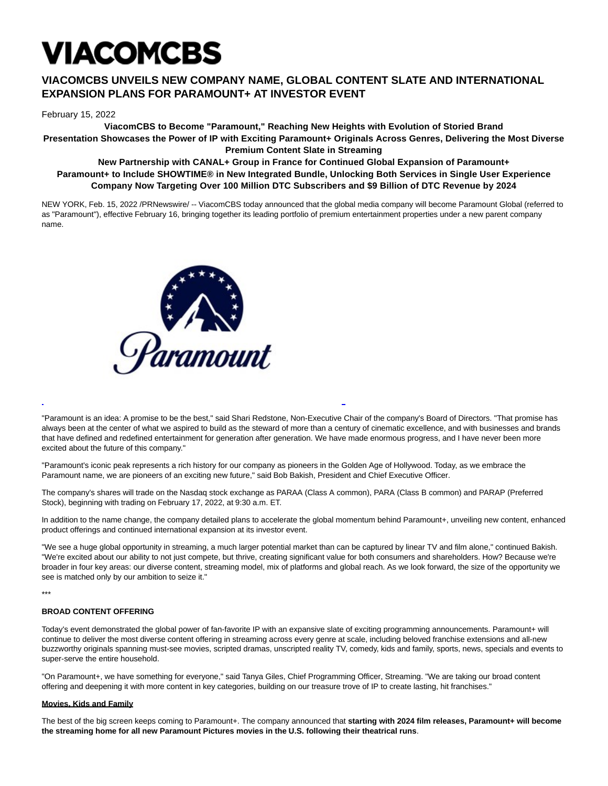# VIACOMCBS

## **VIACOMCBS UNVEILS NEW COMPANY NAME, GLOBAL CONTENT SLATE AND INTERNATIONAL EXPANSION PLANS FOR PARAMOUNT+ AT INVESTOR EVENT**

February 15, 2022

**ViacomCBS to Become "Paramount," Reaching New Heights with Evolution of Storied Brand Presentation Showcases the Power of IP with Exciting Paramount+ Originals Across Genres, Delivering the Most Diverse Premium Content Slate in Streaming**

### **New Partnership with CANAL+ Group in France for Continued Global Expansion of Paramount+ Paramount+ to Include SHOWTIME® in New Integrated Bundle, Unlocking Both Services in Single User Experience Company Now Targeting Over 100 Million DTC Subscribers and \$9 Billion of DTC Revenue by 2024**

NEW YORK, Feb. 15, 2022 /PRNewswire/ -- ViacomCBS today announced that the global media company will become Paramount Global (referred to as "Paramount"), effective February 16, bringing together its leading portfolio of premium entertainment properties under a new parent company name.



"Paramount is an idea: A promise to be the best," said Shari Redstone, Non-Executive Chair of the company's Board of Directors. "That promise has always been at the center of what we aspired to build as the steward of more than a century of cinematic excellence, and with businesses and brands that have defined and redefined entertainment for generation after generation. We have made enormous progress, and I have never been more excited about the future of this company."

L

"Paramount's iconic peak represents a rich history for our company as pioneers in the Golden Age of Hollywood. Today, as we embrace the Paramount name, we are pioneers of an exciting new future," said Bob Bakish, President and Chief Executive Officer.

The company's shares will trade on the Nasdaq stock exchange as PARAA (Class A common), PARA (Class B common) and PARAP (Preferred Stock), beginning with trading on February 17, 2022, at 9:30 a.m. ET.

In addition to the name change, the company detailed plans to accelerate the global momentum behind Paramount+, unveiling new content, enhanced product offerings and continued international expansion at its investor event.

"We see a huge global opportunity in streaming, a much larger potential market than can be captured by linear TV and film alone," continued Bakish. "We're excited about our ability to not just compete, but thrive, creating significant value for both consumers and shareholders. How? Because we're broader in four key areas: our diverse content, streaming model, mix of platforms and global reach. As we look forward, the size of the opportunity we see is matched only by our ambition to seize it."

\*\*\*

#### **BROAD CONTENT OFFERING**

Today's event demonstrated the global power of fan-favorite IP with an expansive slate of exciting programming announcements. Paramount+ will continue to deliver the most diverse content offering in streaming across every genre at scale, including beloved franchise extensions and all-new buzzworthy originals spanning must-see movies, scripted dramas, unscripted reality TV, comedy, kids and family, sports, news, specials and events to super-serve the entire household.

"On Paramount+, we have something for everyone," said Tanya Giles, Chief Programming Officer, Streaming. "We are taking our broad content offering and deepening it with more content in key categories, building on our treasure trove of IP to create lasting, hit franchises."

#### **Movies, Kids and Family**

The best of the big screen keeps coming to Paramount+. The company announced that starting with 2024 film releases, Paramount+ will become **the streaming home for all new Paramount Pictures movies in the U.S. following their theatrical runs**.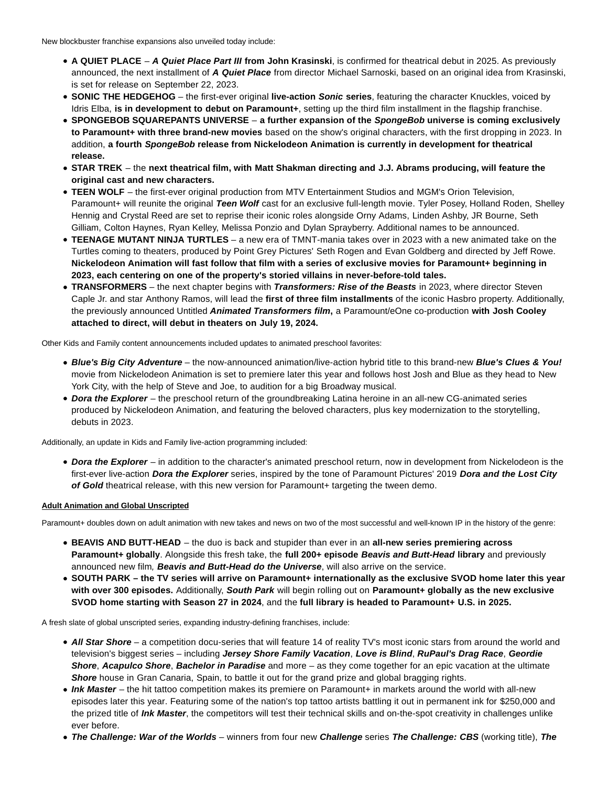- **A QUIET PLACE A Quiet Place Part III from John Krasinski**, is confirmed for theatrical debut in 2025. As previously announced, the next installment of **A Quiet Place** from director Michael Sarnoski, based on an original idea from Krasinski, is set for release on September 22, 2023.
- **SONIC THE HEDGEHOG** the first-ever original **live-action Sonic series**, featuring the character Knuckles, voiced by Idris Elba, **is in development to debut on Paramount+**, setting up the third film installment in the flagship franchise.
- **SPONGEBOB SQUAREPANTS UNIVERSE a further expansion of the SpongeBob universe is coming exclusively to Paramount+ with three brand-new movies** based on the show's original characters, with the first dropping in 2023. In addition, **a fourth SpongeBob release from Nickelodeon Animation is currently in development for theatrical release.**
- **STAR TREK**  the **next theatrical film, with Matt Shakman directing and J.J. Abrams producing, will feature the original cast and new characters.**
- **TEEN WOLF**  the first-ever original production from MTV Entertainment Studios and MGM's Orion Television, Paramount+ will reunite the original **Teen Wolf** cast for an exclusive full-length movie. Tyler Posey, Holland Roden, Shelley Hennig and Crystal Reed are set to reprise their iconic roles alongside Orny Adams, Linden Ashby, JR Bourne, Seth Gilliam, Colton Haynes, Ryan Kelley, Melissa Ponzio and Dylan Sprayberry. Additional names to be announced.
- **TEENAGE MUTANT NINJA TURTLES** a new era of TMNT-mania takes over in 2023 with a new animated take on the Turtles coming to theaters, produced by Point Grey Pictures' Seth Rogen and Evan Goldberg and directed by Jeff Rowe. **Nickelodeon Animation will fast follow that film with a series of exclusive movies for Paramount+ beginning in 2023, each centering on one of the property's storied villains in never-before-told tales.**
- **TRANSFORMERS** the next chapter begins with **Transformers: Rise of the Beasts** in 2023, where director Steven Caple Jr. and star Anthony Ramos, will lead the **first of three film installments** of the iconic Hasbro property. Additionally, the previously announced Untitled **Animated Transformers film,** a Paramount/eOne co-production **with Josh Cooley attached to direct, will debut in theaters on July 19, 2024.**

Other Kids and Family content announcements included updates to animated preschool favorites:

- **Blue's Big City Adventure** the now-announced animation/live-action hybrid title to this brand-new **Blue's Clues & You!** movie from Nickelodeon Animation is set to premiere later this year and follows host Josh and Blue as they head to New York City, with the help of Steve and Joe, to audition for a big Broadway musical.
- **Dora the Explorer**  the preschool return of the groundbreaking Latina heroine in an all-new CG-animated series produced by Nickelodeon Animation, and featuring the beloved characters, plus key modernization to the storytelling, debuts in 2023.

Additionally, an update in Kids and Family live-action programming included:

**Dora the Explorer** – in addition to the character's animated preschool return, now in development from Nickelodeon is the first-ever live-action **Dora the Explorer** series, inspired by the tone of Paramount Pictures' 2019 **Dora and the Lost City** of Gold theatrical release, with this new version for Paramount+ targeting the tween demo.

#### **Adult Animation and Global Unscripted**

Paramount+ doubles down on adult animation with new takes and news on two of the most successful and well-known IP in the history of the genre:

- **BEAVIS AND BUTT-HEAD**  the duo is back and stupider than ever in an **all-new series premiering across Paramount+ globally**. Alongside this fresh take, the **full 200+ episode Beavis and Butt-Head library** and previously announced new film, **Beavis and Butt-Head do the Universe**, will also arrive on the service.
- **SOUTH PARK the TV series will arrive on Paramount+ internationally as the exclusive SVOD home later this year with over 300 episodes.** Additionally, **South Park** will begin rolling out on **Paramount+ globally as the new exclusive SVOD home starting with Season 27 in 2024**, and the **full library is headed to Paramount+ U.S. in 2025.**

A fresh slate of global unscripted series, expanding industry-defining franchises, include:

- **All Star Shore** a competition docu-series that will feature 14 of reality TV's most iconic stars from around the world and television's biggest series – including **Jersey Shore Family Vacation**, **Love is Blind**, **RuPaul's Drag Race**, **Geordie Shore**, **Acapulco Shore**, **Bachelor in Paradise** and more – as they come together for an epic vacation at the ultimate **Shore** house in Gran Canaria, Spain, to battle it out for the grand prize and global bragging rights.
- **Ink Master**  the hit tattoo competition makes its premiere on Paramount+ in markets around the world with all-new episodes later this year. Featuring some of the nation's top tattoo artists battling it out in permanent ink for \$250,000 and the prized title of **Ink Master**, the competitors will test their technical skills and on-the-spot creativity in challenges unlike ever before.
- **The Challenge: War of the Worlds** winners from four new **Challenge** series **The Challenge: CBS** (working title), **The**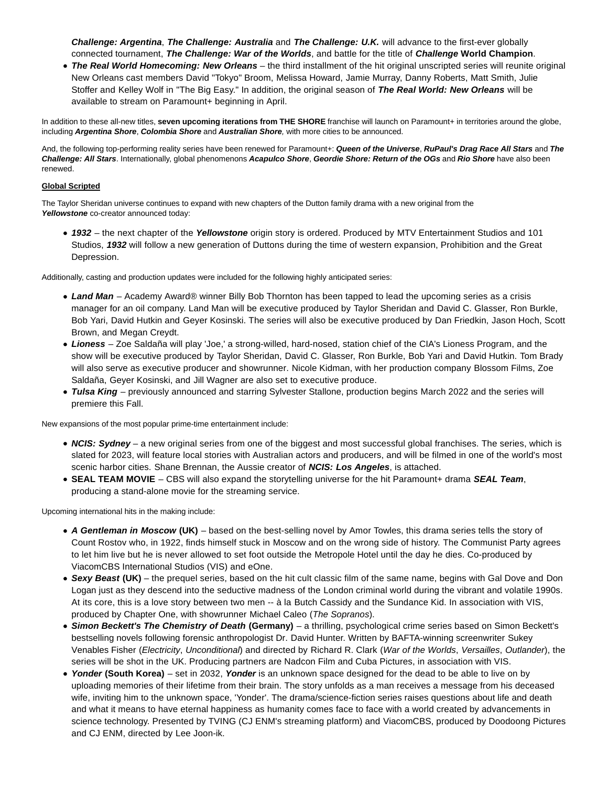**Challenge: Argentina**, **The Challenge: Australia** and **The Challenge: U.K.** will advance to the first-ever globally connected tournament, **The Challenge: War of the Worlds**, and battle for the title of **Challenge World Champion**.

**The Real World Homecoming: New Orleans** – the third installment of the hit original unscripted series will reunite original New Orleans cast members David "Tokyo" Broom, Melissa Howard, Jamie Murray, Danny Roberts, Matt Smith, Julie Stoffer and Kelley Wolf in "The Big Easy." In addition, the original season of **The Real World: New Orleans** will be available to stream on Paramount+ beginning in April.

In addition to these all-new titles, **seven upcoming iterations from THE SHORE** franchise will launch on Paramount+ in territories around the globe, including **Argentina Shore**, **Colombia Shore** and **Australian Shore**, with more cities to be announced.

And, the following top-performing reality series have been renewed for Paramount+: **Queen of the Universe**, **RuPaul's Drag Race All Stars** and **The Challenge: All Stars**. Internationally, global phenomenons **Acapulco Shore**, **Geordie Shore: Return of the OGs** and **Rio Shore** have also been renewed.

#### **Global Scripted**

The Taylor Sheridan universe continues to expand with new chapters of the Dutton family drama with a new original from the **Yellowstone** co-creator announced today:

**1932** – the next chapter of the **Yellowstone** origin story is ordered. Produced by MTV Entertainment Studios and 101 Studios, **1932** will follow a new generation of Duttons during the time of western expansion, Prohibition and the Great Depression.

Additionally, casting and production updates were included for the following highly anticipated series:

- Land Man Academy Award® winner Billy Bob Thornton has been tapped to lead the upcoming series as a crisis manager for an oil company. Land Man will be executive produced by Taylor Sheridan and David C. Glasser, Ron Burkle, Bob Yari, David Hutkin and Geyer Kosinski. The series will also be executive produced by Dan Friedkin, Jason Hoch, Scott Brown, and Megan Creydt.
- **Lioness**  Zoe Saldaña will play 'Joe,' a strong-willed, hard-nosed, station chief of the CIA's Lioness Program, and the show will be executive produced by Taylor Sheridan, David C. Glasser, Ron Burkle, Bob Yari and David Hutkin. Tom Brady will also serve as executive producer and showrunner. Nicole Kidman, with her production company Blossom Films, Zoe Saldaña, Geyer Kosinski, and Jill Wagner are also set to executive produce.
- **Tulsa King**  previously announced and starring Sylvester Stallone, production begins March 2022 and the series will premiere this Fall.

New expansions of the most popular prime-time entertainment include:

- **NCIS: Sydney** a new original series from one of the biggest and most successful global franchises. The series, which is slated for 2023, will feature local stories with Australian actors and producers, and will be filmed in one of the world's most scenic harbor cities. Shane Brennan, the Aussie creator of **NCIS: Los Angeles**, is attached.
- **SEAL TEAM MOVIE**  CBS will also expand the storytelling universe for the hit Paramount+ drama **SEAL Team**, producing a stand-alone movie for the streaming service.

Upcoming international hits in the making include:

- **A Gentleman in Moscow (UK)**  based on the best-selling novel by Amor Towles, this drama series tells the story of Count Rostov who, in 1922, finds himself stuck in Moscow and on the wrong side of history. The Communist Party agrees to let him live but he is never allowed to set foot outside the Metropole Hotel until the day he dies. Co-produced by ViacomCBS International Studios (VIS) and eOne.
- **Sexy Beast (UK)** the prequel series, based on the hit cult classic film of the same name, begins with Gal Dove and Don Logan just as they descend into the seductive madness of the London criminal world during the vibrant and volatile 1990s. At its core, this is a love story between two men -- à la Butch Cassidy and the Sundance Kid. In association with VIS, produced by Chapter One, with showrunner Michael Caleo (The Sopranos).
- **Simon Beckett's The Chemistry of Death (Germany)**  a thrilling, psychological crime series based on Simon Beckett's bestselling novels following forensic anthropologist Dr. David Hunter. Written by BAFTA-winning screenwriter Sukey Venables Fisher (Electricity, Unconditional) and directed by Richard R. Clark (War of the Worlds, Versailles, Outlander), the series will be shot in the UK. Producing partners are Nadcon Film and Cuba Pictures, in association with VIS.
- **Yonder (South Korea)**  set in 2032, **Yonder** is an unknown space designed for the dead to be able to live on by uploading memories of their lifetime from their brain. The story unfolds as a man receives a message from his deceased wife, inviting him to the unknown space, 'Yonder'. The drama/science-fiction series raises questions about life and death and what it means to have eternal happiness as humanity comes face to face with a world created by advancements in science technology. Presented by TVING (CJ ENM's streaming platform) and ViacomCBS, produced by Doodoong Pictures and CJ ENM, directed by Lee Joon-ik.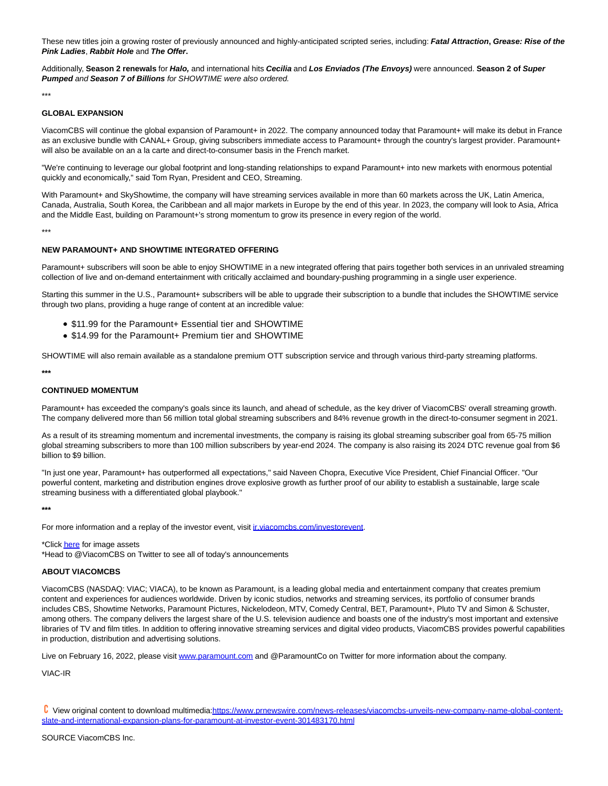These new titles join a growing roster of previously announced and highly-anticipated scripted series, including: **Fatal Attraction, Grease: Rise of the Pink Ladies**, **Rabbit Hole** and **The Offer.**

Additionally, **Season 2 renewals** for **Halo,** and international hits **Cecilia** and **Los Enviados (The Envoys)** were announced. **Season 2 of Super Pumped** and **Season 7 of Billions** for SHOWTIME were also ordered.

\*\*\*

#### **GLOBAL EXPANSION**

ViacomCBS will continue the global expansion of Paramount+ in 2022. The company announced today that Paramount+ will make its debut in France as an exclusive bundle with CANAL+ Group, giving subscribers immediate access to Paramount+ through the country's largest provider. Paramount+ will also be available on an a la carte and direct-to-consumer basis in the French market.

"We're continuing to leverage our global footprint and long-standing relationships to expand Paramount+ into new markets with enormous potential quickly and economically," said Tom Ryan, President and CEO, Streaming.

With Paramount+ and SkyShowtime, the company will have streaming services available in more than 60 markets across the UK, Latin America, Canada, Australia, South Korea, the Caribbean and all major markets in Europe by the end of this year. In 2023, the company will look to Asia, Africa and the Middle East, building on Paramount+'s strong momentum to grow its presence in every region of the world.

\*\*\*

#### **NEW PARAMOUNT+ AND SHOWTIME INTEGRATED OFFERING**

Paramount+ subscribers will soon be able to enjoy SHOWTIME in a new integrated offering that pairs together both services in an unrivaled streaming collection of live and on-demand entertainment with critically acclaimed and boundary-pushing programming in a single user experience.

Starting this summer in the U.S., Paramount+ subscribers will be able to upgrade their subscription to a bundle that includes the SHOWTIME service through two plans, providing a huge range of content at an incredible value:

- \$11.99 for the Paramount+ Essential tier and SHOWTIME
- \$14.99 for the Paramount+ Premium tier and SHOWTIME

SHOWTIME will also remain available as a standalone premium OTT subscription service and through various third-party streaming platforms.

**\*\*\***

#### **CONTINUED MOMENTUM**

Paramount+ has exceeded the company's goals since its launch, and ahead of schedule, as the key driver of ViacomCBS' overall streaming growth. The company delivered more than 56 million total global streaming subscribers and 84% revenue growth in the direct-to-consumer segment in 2021.

As a result of its streaming momentum and incremental investments, the company is raising its global streaming subscriber goal from 65-75 million global streaming subscribers to more than 100 million subscribers by year-end 2024. The company is also raising its 2024 DTC revenue goal from \$6 billion to \$9 billion.

"In just one year, Paramount+ has outperformed all expectations," said Naveen Chopra, Executive Vice President, Chief Financial Officer. "Our powerful content, marketing and distribution engines drove explosive growth as further proof of our ability to establish a sustainable, large scale streaming business with a differentiated global playbook."

**\*\*\***

For more information and a replay of the investor event, visit *ir.viacomcbs.com/investorevent*.

\*Clic[k here f](https://c212.net/c/link/?t=0&l=en&o=3445311-1&h=3690788529&u=https%3A%2F%2Fviacom-my.sharepoint.com%2F%3Af%3A%2Fg%2Fpersonal%2Fcasey_moynagh_viacomcbs_com%2FEnA4KQsdMFpBveVuGFm_D6cBzRmFtdyT9uJ-6Htxz1DdsQ%3Fe%3DKglVoP&a=here)or image assets

\*Head to @ViacomCBS on Twitter to see all of today's announcements

#### **ABOUT VIACOMCBS**

ViacomCBS (NASDAQ: VIAC; VIACA), to be known as Paramount, is a leading global media and entertainment company that creates premium content and experiences for audiences worldwide. Driven by iconic studios, networks and streaming services, its portfolio of consumer brands includes CBS, Showtime Networks, Paramount Pictures, Nickelodeon, MTV, Comedy Central, BET, Paramount+, Pluto TV and Simon & Schuster, among others. The company delivers the largest share of the U.S. television audience and boasts one of the industry's most important and extensive libraries of TV and film titles. In addition to offering innovative streaming services and digital video products, ViacomCBS provides powerful capabilities in production, distribution and advertising solutions.

Live on February 16, 2022, please visi[t www.paramount.com a](https://c212.net/c/link/?t=0&l=en&o=3445311-1&h=2519532872&u=http%3A%2F%2Fwww.paramount.com%2F&a=www.paramount.com)nd @ParamountCo on Twitter for more information about the company.

VIAC-IR

View original content to download multimedia[:https://www.prnewswire.com/news-releases/viacomcbs-unveils-new-company-name-global-content](https://www.prnewswire.com/news-releases/viacomcbs-unveils-new-company-name-global-content-slate-and-international-expansion-plans-for-paramount-at-investor-event-301483170.html)slate-and-international-expansion-plans-for-paramount-at-investor-event-301483170.html